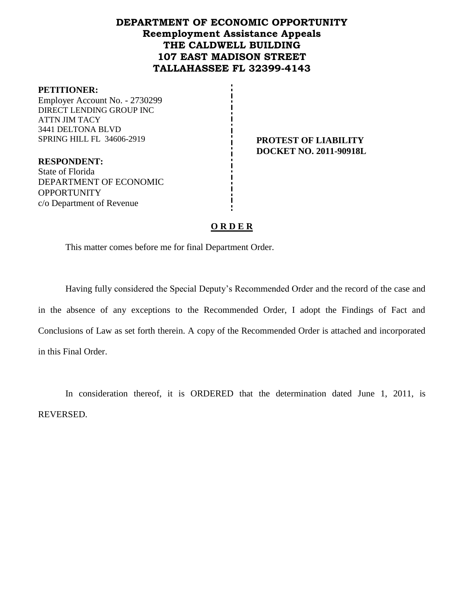## **DEPARTMENT OF ECONOMIC OPPORTUNITY Reemployment Assistance Appeals THE CALDWELL BUILDING 107 EAST MADISON STREET TALLAHASSEE FL 32399-4143**

#### **PETITIONER:**

Employer Account No. - 2730299 DIRECT LENDING GROUP INC ATTN JIM TACY 3441 DELTONA BLVD SPRING HILL FL 34606-2919 **PROTEST OF LIABILITY** 

**RESPONDENT:** State of Florida DEPARTMENT OF ECONOMIC **OPPORTUNITY** c/o Department of Revenue

**DOCKET NO. 2011-90918L**

### **O R D E R**

This matter comes before me for final Department Order.

Having fully considered the Special Deputy's Recommended Order and the record of the case and in the absence of any exceptions to the Recommended Order, I adopt the Findings of Fact and Conclusions of Law as set forth therein. A copy of the Recommended Order is attached and incorporated in this Final Order.

In consideration thereof, it is ORDERED that the determination dated June 1, 2011, is REVERSED.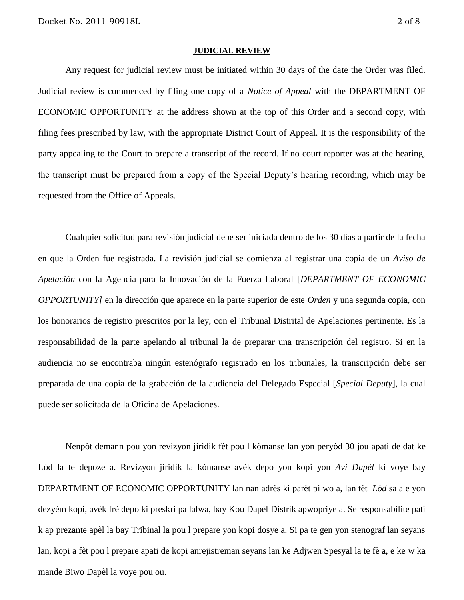#### **JUDICIAL REVIEW**

Any request for judicial review must be initiated within 30 days of the date the Order was filed. Judicial review is commenced by filing one copy of a *Notice of Appeal* with the DEPARTMENT OF ECONOMIC OPPORTUNITY at the address shown at the top of this Order and a second copy, with filing fees prescribed by law, with the appropriate District Court of Appeal. It is the responsibility of the party appealing to the Court to prepare a transcript of the record. If no court reporter was at the hearing, the transcript must be prepared from a copy of the Special Deputy's hearing recording, which may be requested from the Office of Appeals.

Cualquier solicitud para revisión judicial debe ser iniciada dentro de los 30 días a partir de la fecha en que la Orden fue registrada. La revisión judicial se comienza al registrar una copia de un *Aviso de Apelación* con la Agencia para la Innovación de la Fuerza Laboral [*DEPARTMENT OF ECONOMIC OPPORTUNITY]* en la dirección que aparece en la parte superior de este *Orden* y una segunda copia, con los honorarios de registro prescritos por la ley, con el Tribunal Distrital de Apelaciones pertinente. Es la responsabilidad de la parte apelando al tribunal la de preparar una transcripción del registro. Si en la audiencia no se encontraba ningún estenógrafo registrado en los tribunales, la transcripción debe ser preparada de una copia de la grabación de la audiencia del Delegado Especial [*Special Deputy*], la cual puede ser solicitada de la Oficina de Apelaciones.

Nenpòt demann pou yon revizyon jiridik fèt pou l kòmanse lan yon peryòd 30 jou apati de dat ke Lòd la te depoze a. Revizyon jiridik la kòmanse avèk depo yon kopi yon *Avi Dapèl* ki voye bay DEPARTMENT OF ECONOMIC OPPORTUNITY lan nan adrès ki parèt pi wo a, lan tèt *Lòd* sa a e yon dezyèm kopi, avèk frè depo ki preskri pa lalwa, bay Kou Dapèl Distrik apwopriye a. Se responsabilite pati k ap prezante apèl la bay Tribinal la pou l prepare yon kopi dosye a. Si pa te gen yon stenograf lan seyans lan, kopi a fèt pou l prepare apati de kopi anrejistreman seyans lan ke Adjwen Spesyal la te fè a, e ke w ka mande Biwo Dapèl la voye pou ou.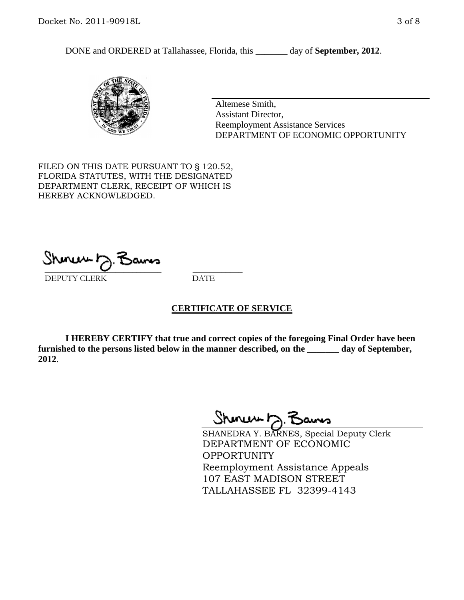DONE and ORDERED at Tallahassee, Florida, this \_\_\_\_\_\_\_ day of **September, 2012**.



Altemese Smith, Assistant Director, Reemployment Assistance Services DEPARTMENT OF ECONOMIC OPPORTUNITY

FILED ON THIS DATE PURSUANT TO § 120.52, FLORIDA STATUTES, WITH THE DESIGNATED DEPARTMENT CLERK, RECEIPT OF WHICH IS HEREBY ACKNOWLEDGED.

\_\_\_\_\_\_\_\_\_\_\_\_\_\_\_\_\_\_\_\_\_\_\_\_\_\_\_\_ \_\_\_\_\_\_\_\_\_\_\_\_ DEPUTY CLERK DATE

#### **CERTIFICATE OF SERVICE**

**I HEREBY CERTIFY that true and correct copies of the foregoing Final Order have been furnished to the persons listed below in the manner described, on the \_\_\_\_\_\_\_ day of September, 2012**.

Shonew b

SHANEDRA Y. BARNES, Special Deputy Clerk DEPARTMENT OF ECONOMIC **OPPORTUNITY** Reemployment Assistance Appeals 107 EAST MADISON STREET TALLAHASSEE FL 32399-4143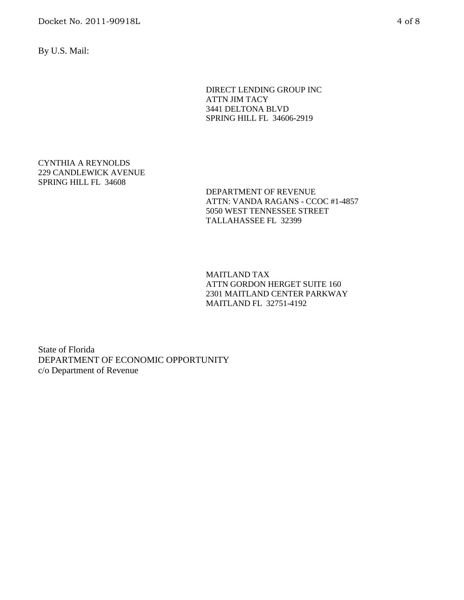Docket No. 2011-90918L 4 of 8

By U.S. Mail:

DIRECT LENDING GROUP INC ATTN JIM TACY 3441 DELTONA BLVD SPRING HILL FL 34606-2919

CYNTHIA A REYNOLDS 229 CANDLEWICK AVENUE SPRING HILL FL 34608

> DEPARTMENT OF REVENUE ATTN: VANDA RAGANS - CCOC #1-4857 5050 WEST TENNESSEE STREET TALLAHASSEE FL 32399

MAITLAND TAX ATTN GORDON HERGET SUITE 160 2301 MAITLAND CENTER PARKWAY MAITLAND FL 32751-4192

State of Florida DEPARTMENT OF ECONOMIC OPPORTUNITY c/o Department of Revenue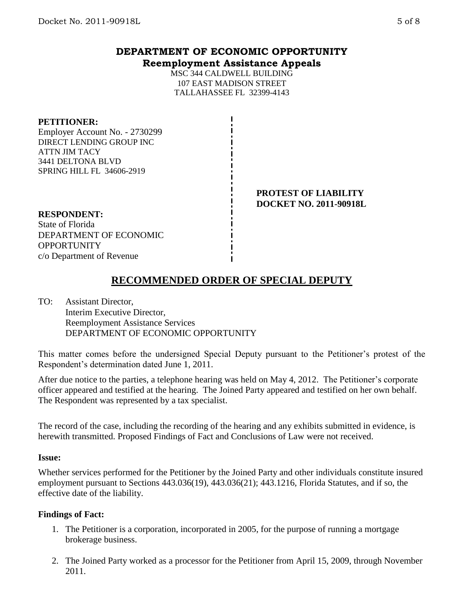# **DEPARTMENT OF ECONOMIC OPPORTUNITY Reemployment Assistance Appeals**

MSC 344 CALDWELL BUILDING 107 EAST MADISON STREET TALLAHASSEE FL 32399-4143

#### **PETITIONER:**

Employer Account No. - 2730299 DIRECT LENDING GROUP INC ATTN JIM TACY 3441 DELTONA BLVD SPRING HILL FL 34606-2919

> **PROTEST OF LIABILITY DOCKET NO. 2011-90918L**

#### **RESPONDENT:**

State of Florida DEPARTMENT OF ECONOMIC **OPPORTUNITY** c/o Department of Revenue

# **RECOMMENDED ORDER OF SPECIAL DEPUTY**

TO: Assistant Director, Interim Executive Director, Reemployment Assistance Services DEPARTMENT OF ECONOMIC OPPORTUNITY

This matter comes before the undersigned Special Deputy pursuant to the Petitioner's protest of the Respondent's determination dated June 1, 2011.

After due notice to the parties, a telephone hearing was held on May 4, 2012. The Petitioner's corporate officer appeared and testified at the hearing. The Joined Party appeared and testified on her own behalf. The Respondent was represented by a tax specialist.

The record of the case, including the recording of the hearing and any exhibits submitted in evidence, is herewith transmitted. Proposed Findings of Fact and Conclusions of Law were not received.

#### **Issue:**

Whether services performed for the Petitioner by the Joined Party and other individuals constitute insured employment pursuant to Sections 443.036(19), 443.036(21); 443.1216, Florida Statutes, and if so, the effective date of the liability.

### **Findings of Fact:**

- 1. The Petitioner is a corporation, incorporated in 2005, for the purpose of running a mortgage brokerage business.
- 2. The Joined Party worked as a processor for the Petitioner from April 15, 2009, through November 2011.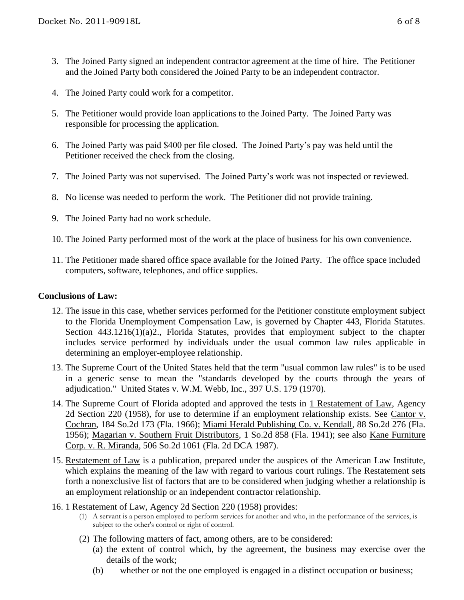- 3. The Joined Party signed an independent contractor agreement at the time of hire. The Petitioner and the Joined Party both considered the Joined Party to be an independent contractor.
- 4. The Joined Party could work for a competitor.
- 5. The Petitioner would provide loan applications to the Joined Party. The Joined Party was responsible for processing the application.
- 6. The Joined Party was paid \$400 per file closed. The Joined Party's pay was held until the Petitioner received the check from the closing.
- 7. The Joined Party was not supervised. The Joined Party's work was not inspected or reviewed.
- 8. No license was needed to perform the work. The Petitioner did not provide training.
- 9. The Joined Party had no work schedule.
- 10. The Joined Party performed most of the work at the place of business for his own convenience.
- 11. The Petitioner made shared office space available for the Joined Party. The office space included computers, software, telephones, and office supplies.

## **Conclusions of Law:**

- 12. The issue in this case, whether services performed for the Petitioner constitute employment subject to the Florida Unemployment Compensation Law, is governed by Chapter 443, Florida Statutes. Section 443.1216(1)(a)2., Florida Statutes, provides that employment subject to the chapter includes service performed by individuals under the usual common law rules applicable in determining an employer-employee relationship.
- 13. The Supreme Court of the United States held that the term "usual common law rules" is to be used in a generic sense to mean the "standards developed by the courts through the years of adjudication." United States v. W.M. Webb, Inc., 397 U.S. 179 (1970).
- 14. The Supreme Court of Florida adopted and approved the tests in 1 Restatement of Law, Agency 2d Section 220 (1958), for use to determine if an employment relationship exists. See Cantor v. Cochran, 184 So.2d 173 (Fla. 1966); Miami Herald Publishing Co. v. Kendall, 88 So.2d 276 (Fla. 1956); Magarian v. Southern Fruit Distributors, 1 So.2d 858 (Fla. 1941); see also Kane Furniture Corp. v. R. Miranda, 506 So.2d 1061 (Fla. 2d DCA 1987).
- 15. Restatement of Law is a publication, prepared under the auspices of the American Law Institute, which explains the meaning of the law with regard to various court rulings. The Restatement sets forth a nonexclusive list of factors that are to be considered when judging whether a relationship is an employment relationship or an independent contractor relationship.
- 16. 1 Restatement of Law, Agency 2d Section 220 (1958) provides:
	- (1) A servant is a person employed to perform services for another and who, in the performance of the services, is subject to the other's control or right of control.
	- (2) The following matters of fact, among others, are to be considered:
		- (a) the extent of control which, by the agreement, the business may exercise over the details of the work;
		- (b) whether or not the one employed is engaged in a distinct occupation or business;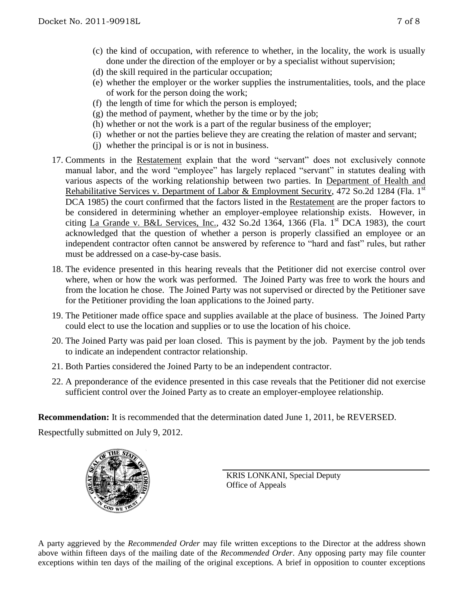- (c) the kind of occupation, with reference to whether, in the locality, the work is usually done under the direction of the employer or by a specialist without supervision;
- (d) the skill required in the particular occupation;
- (e) whether the employer or the worker supplies the instrumentalities, tools, and the place of work for the person doing the work;
- (f) the length of time for which the person is employed;
- (g) the method of payment, whether by the time or by the job;
- (h) whether or not the work is a part of the regular business of the employer;
- (i) whether or not the parties believe they are creating the relation of master and servant;
- (j) whether the principal is or is not in business.
- 17. Comments in the Restatement explain that the word "servant" does not exclusively connote manual labor, and the word "employee" has largely replaced "servant" in statutes dealing with various aspects of the working relationship between two parties. In Department of Health and Rehabilitative Services v. Department of Labor & Employment Security, 472 So.2d 1284 (Fla. 1st DCA 1985) the court confirmed that the factors listed in the Restatement are the proper factors to be considered in determining whether an employer-employee relationship exists. However, in citing La Grande v. B&L Services, Inc., 432 So.2d 1364, 1366 (Fla. 1<sup>st</sup> DCA 1983), the court acknowledged that the question of whether a person is properly classified an employee or an independent contractor often cannot be answered by reference to "hard and fast" rules, but rather must be addressed on a case-by-case basis.
- 18. The evidence presented in this hearing reveals that the Petitioner did not exercise control over where, when or how the work was performed. The Joined Party was free to work the hours and from the location he chose. The Joined Party was not supervised or directed by the Petitioner save for the Petitioner providing the loan applications to the Joined party.
- 19. The Petitioner made office space and supplies available at the place of business. The Joined Party could elect to use the location and supplies or to use the location of his choice.
- 20. The Joined Party was paid per loan closed. This is payment by the job. Payment by the job tends to indicate an independent contractor relationship.
- 21. Both Parties considered the Joined Party to be an independent contractor.
- 22. A preponderance of the evidence presented in this case reveals that the Petitioner did not exercise sufficient control over the Joined Party as to create an employer-employee relationship.

**Recommendation:** It is recommended that the determination dated June 1, 2011, be REVERSED.

Respectfully submitted on July 9, 2012.



KRIS LONKANI, Special Deputy Office of Appeals

A party aggrieved by the *Recommended Order* may file written exceptions to the Director at the address shown above within fifteen days of the mailing date of the *Recommended Order*. Any opposing party may file counter exceptions within ten days of the mailing of the original exceptions. A brief in opposition to counter exceptions